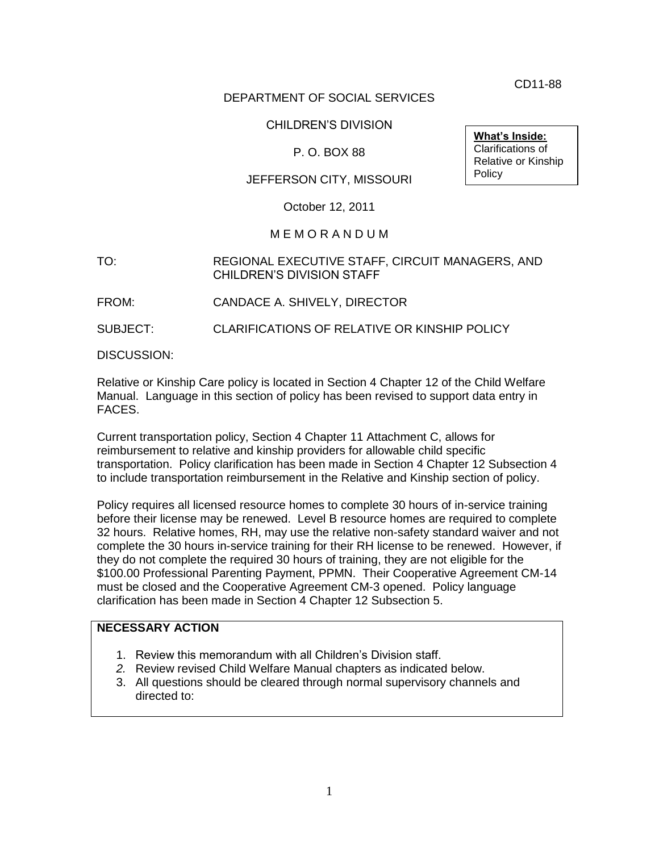CD11-88

#### DEPARTMENT OF SOCIAL SERVICES

#### CHILDREN'S DIVISION

#### P. O. BOX 88

#### JEFFERSON CITY, MISSOURI

October 12, 2011

#### M E M O R A N D U M

#### TO: REGIONAL EXECUTIVE STAFF, CIRCUIT MANAGERS, AND CHILDREN'S DIVISION STAFF

FROM: CANDACE A. SHIVELY, DIRECTOR

SUBJECT: CLARIFICATIONS OF RELATIVE OR KINSHIP POLICY

DISCUSSION:

Relative or Kinship Care policy is located in Section 4 Chapter 12 of the Child Welfare Manual. Language in this section of policy has been revised to support data entry in FACES.

Current transportation policy, Section 4 Chapter 11 Attachment C, allows for reimbursement to relative and kinship providers for allowable child specific transportation. Policy clarification has been made in Section 4 Chapter 12 Subsection 4 to include transportation reimbursement in the Relative and Kinship section of policy.

Policy requires all licensed resource homes to complete 30 hours of in-service training before their license may be renewed. Level B resource homes are required to complete 32 hours. Relative homes, RH, may use the relative non-safety standard waiver and not complete the 30 hours in-service training for their RH license to be renewed. However, if they do not complete the required 30 hours of training, they are not eligible for the \$100.00 Professional Parenting Payment, PPMN. Their Cooperative Agreement CM-14 must be closed and the Cooperative Agreement CM-3 opened. Policy language clarification has been made in Section 4 Chapter 12 Subsection 5.

#### **NECESSARY ACTION**

- 1. Review this memorandum with all Children's Division staff.
- *2.* Review revised Child Welfare Manual chapters as indicated below.
- 3. All questions should be cleared through normal supervisory channels and directed to:

**What's Inside:** Clarifications of Relative or Kinship **Policy**